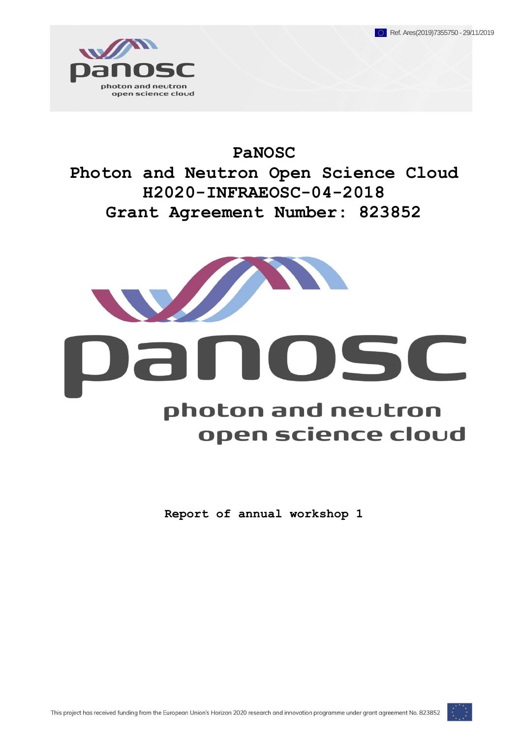

**PaNOSC Photon and Neutron Open Science Cloud H2020-INFRAEOSC-04-2018 Grant Agreement Number: 823852**



# anosc photon and neutron open science cloud

**Report of annual workshop 1** 

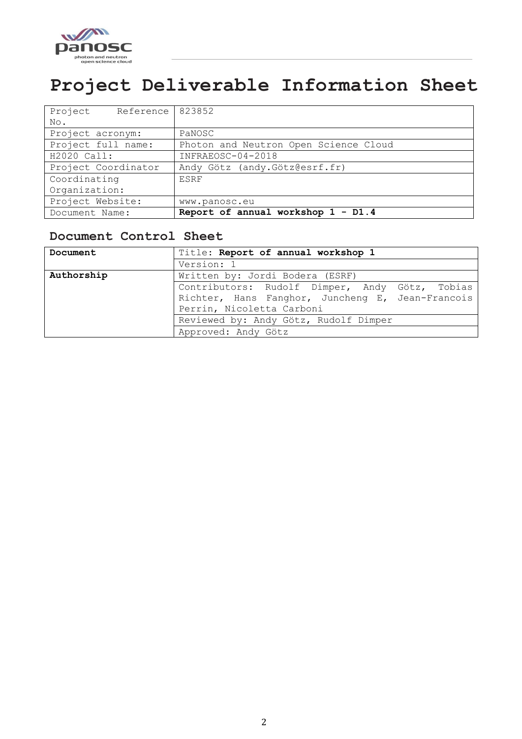

# <span id="page-1-0"></span>**Project Deliverable Information Sheet**

| Document Name:                | Report of annual workshop 1 - D1.4    |
|-------------------------------|---------------------------------------|
| Project Website:              | www.panosc.eu                         |
| Organization:                 |                                       |
| Coordinating                  | <b>ESRF</b>                           |
| Project Coordinator           | Andy Götz (andy. Götz@esrf.fr)        |
| H2020 Call:                   | INFRAEOSC-04-2018                     |
| Project full name:            | Photon and Neutron Open Science Cloud |
| Project acronym:              | PaNOSC                                |
| No.                           |                                       |
| Reference   823852<br>Project |                                       |

#### <span id="page-1-1"></span>**Document Control Sheet**

| Document   | Title: Report of annual workshop 1               |  |  |  |  |
|------------|--------------------------------------------------|--|--|--|--|
|            | Version: 1                                       |  |  |  |  |
| Authorship | Written by: Jordi Bodera (ESRF)                  |  |  |  |  |
|            | Contributors: Rudolf Dimper, Andy Götz, Tobias   |  |  |  |  |
|            | Richter, Hans Fanghor, Juncheng E, Jean-Francois |  |  |  |  |
|            | Perrin, Nicoletta Carboni                        |  |  |  |  |
|            | Reviewed by: Andy Götz, Rudolf Dimper            |  |  |  |  |
|            | Approved: Andy Götz                              |  |  |  |  |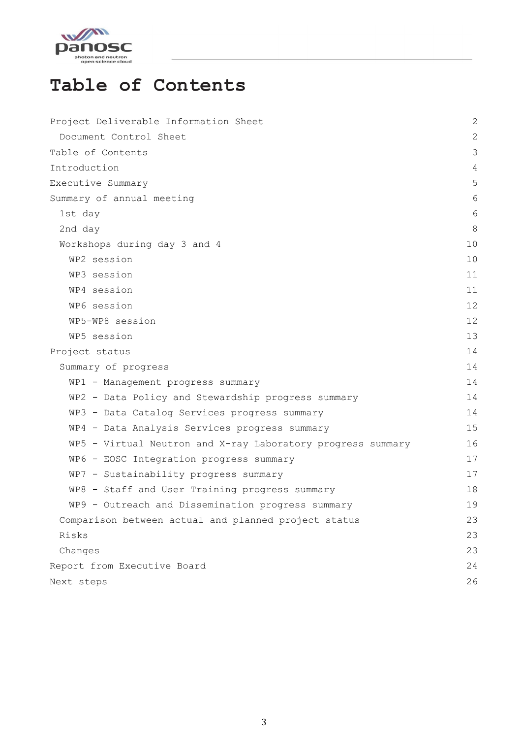

# <span id="page-2-0"></span>**Table of Contents**

| Project Deliverable Information Sheet                       | $\overline{c}$ |
|-------------------------------------------------------------|----------------|
| Document Control Sheet                                      | $\mathbf{2}$   |
| Table of Contents                                           | 3              |
| Introduction                                                | 4              |
| Executive Summary                                           | 5              |
| Summary of annual meeting                                   | 6              |
| 1st day                                                     | 6              |
| 2nd day                                                     | 8              |
| Workshops during day 3 and 4                                | 10             |
| WP2 session                                                 | 10             |
| WP3 session                                                 | 11             |
| WP4 session                                                 | 11             |
| WP6 session                                                 | 12             |
| WP5-WP8 session                                             | 12             |
| WP5 session                                                 | 13             |
| Project status                                              | 14             |
| Summary of progress                                         | 14             |
| WP1 - Management progress summary                           | 14             |
| WP2 - Data Policy and Stewardship progress summary          | 14             |
| WP3 - Data Catalog Services progress summary                | 14             |
| WP4 - Data Analysis Services progress summary               | 15             |
| WP5 - Virtual Neutron and X-ray Laboratory progress summary | 16             |
| WP6 - EOSC Integration progress summary                     | 17             |
| WP7 - Sustainability progress summary                       | 17             |
| WP8 - Staff and User Training progress summary              | 18             |
| WP9 - Outreach and Dissemination progress summary           | 19             |
| Comparison between actual and planned project status        | 23             |
| Risks                                                       | 23             |
| Changes                                                     | 23             |
| Report from Executive Board                                 | 24             |
| Next steps                                                  | 26             |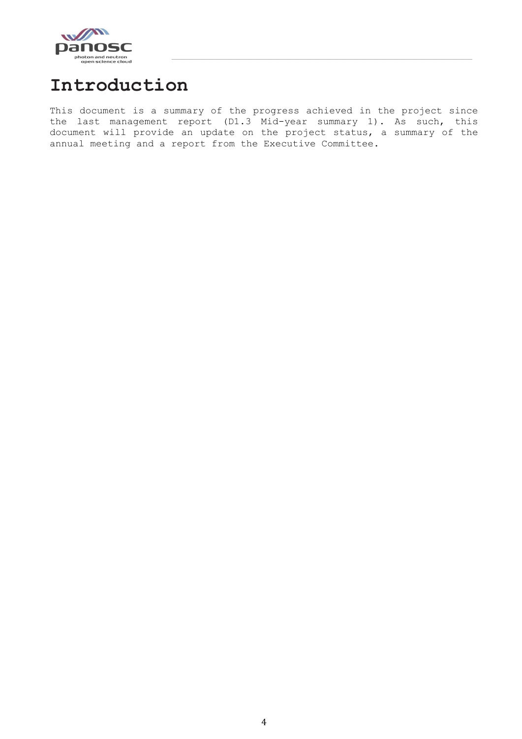

# <span id="page-3-0"></span>**Introduction**

This document is a summary of the progress achieved in the project since the last management report (D1.3 Mid-year summary 1). As such, this document will provide an update on the project status, a summary of the annual meeting and a report from the Executive Committee.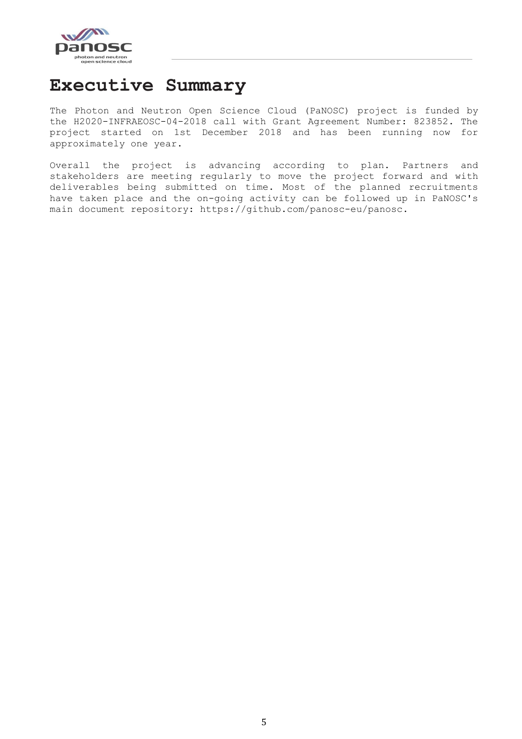

## <span id="page-4-0"></span>**Executive Summary**

The Photon and Neutron Open Science Cloud (PaNOSC) project is funded by the H2020-INFRAEOSC-04-2018 call with Grant Agreement Number: 823852. The project started on 1st December 2018 and has been running now for approximately one year.

Overall the project is advancing according to plan. Partners and stakeholders are meeting regularly to move the project forward and with deliverables being submitted on time. Most of the planned recruitments have taken place and the on-going activity can be followed up in PaNOSC's main document repository: https://github.com/panosc-eu/panosc.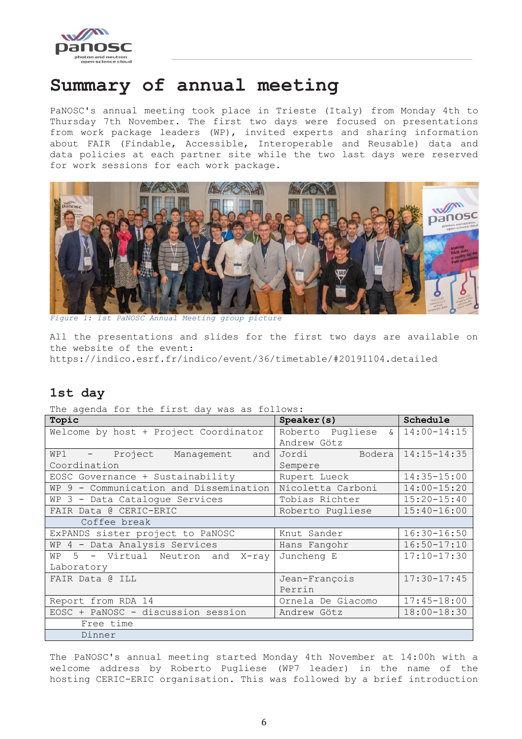

### <span id="page-5-0"></span>**Summary of annual meeting**

PaNOSC's annual meeting took place in Trieste (Italy) from Monday 4th to Thursday 7th November. The first two days were focused on presentations from work package leaders (WP), invited experts and sharing information about FAIR (Findable, Accessible, Interoperable and Reusable) data and data policies at each partner site while the two last days were reserved for work sessions for each work package.



*Figure 1: 1st PaNOSC Annual Meeting group picture*

All the presentations and slides for the first two days are available on the website of the event: https://indico.esrf.fr/indico/event/36/timetable/#20191104.detailed

#### <span id="page-5-1"></span>**1st day**

|  |  |  |  | The agenda for the first day was as follows: |
|--|--|--|--|----------------------------------------------|
|  |  |  |  |                                              |

| INC aganaa Iof che filmo aay wab ab forfowb. |                         |                 |
|----------------------------------------------|-------------------------|-----------------|
| Topic                                        | Speaker(s)              | Schedule        |
| Welcome by host + Project Coordinator        | Roberto Pugliese<br>ି ଧ | $14:00 - 14:15$ |
|                                              | Andrew Götz             |                 |
| WP1 - Project Management and                 | Bodera<br>Jordi         | $14:15 - 14:35$ |
| Coordination                                 | Sempere                 |                 |
| EOSC Governance + Sustainability             | Rupert Lueck            | $14:35 - 15:00$ |
| WP 9 - Communication and Dissemination       | Nicoletta Carboni       | $14:00 - 15:20$ |
| WP 3 - Data Cataloque Services               | Tobias Richter          | $15:20 - 15:40$ |
| FAIR Data @ CERIC-ERIC                       | Roberto Pugliese        | $15:40 - 16:00$ |
| Coffee break                                 |                         |                 |
| ExPANDS sister project to PaNOSC             | Knut Sander             | $16:30 - 16:50$ |
| WP 4 - Data Analysis Services                | Hans Fangohr            | $16:50 - 17:10$ |
| WP 5 - Virtual Neutron and X-ray             | Juncheng E              | $17:10 - 17:30$ |
| Laboratory                                   |                         |                 |
| FAIR Data @ ILL                              | Jean-François           | $17:30 - 17:45$ |
|                                              | Perrin                  |                 |
| Report from RDA 14                           | Ornela De Giacomo       | $17:45 - 18:00$ |
| EOSC + PaNOSC - discussion session           | Andrew Götz             | $18:00 - 18:30$ |
| Free time                                    |                         |                 |
| Dinner                                       |                         |                 |

The PaNOSC's annual meeting started Monday 4th November at 14:00h with a welcome address by Roberto Pugliese (WP7 leader) in the name of the hosting CERIC-ERIC organisation. This was followed by a brief introduction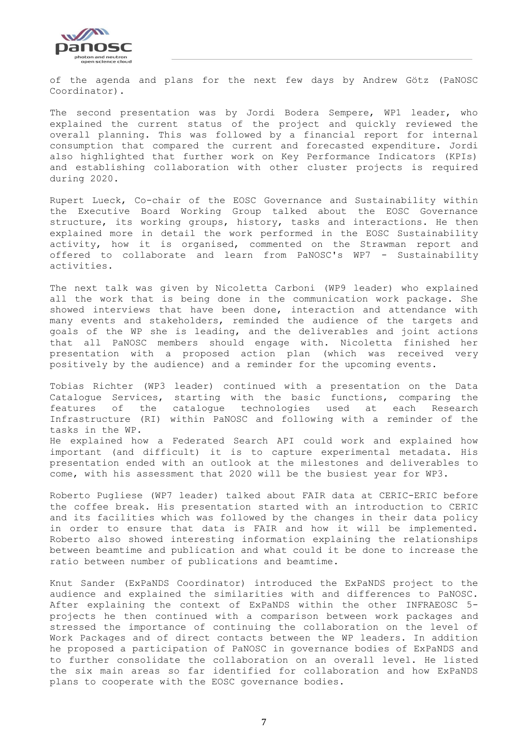

of the agenda and plans for the next few days by Andrew Götz (PaNOSC Coordinator).

The second presentation was by Jordi Bodera Sempere, WP1 leader, who explained the current status of the project and quickly reviewed the overall planning. This was followed by a financial report for internal consumption that compared the current and forecasted expenditure. Jordi also highlighted that further work on Key Performance Indicators (KPIs) and establishing collaboration with other cluster projects is required during 2020.

Rupert Lueck, Co-chair of the EOSC Governance and Sustainability within the Executive Board Working Group talked about the EOSC Governance structure, its working groups, history, tasks and interactions. He then explained more in detail the work performed in the EOSC Sustainability activity, how it is organised, commented on the Strawman report and offered to collaborate and learn from PaNOSC's WP7 - Sustainability activities.

The next talk was given by Nicoletta Carboni (WP9 leader) who explained all the work that is being done in the communication work package. She showed interviews that have been done, interaction and attendance with many events and stakeholders, reminded the audience of the targets and goals of the WP she is leading, and the deliverables and joint actions that all PaNOSC members should engage with. Nicoletta finished her presentation with a proposed action plan (which was received very positively by the audience) and a reminder for the upcoming events.

Tobias Richter (WP3 leader) continued with a presentation on the Data Catalogue Services, starting with the basic functions, comparing the features of the catalogue technologies used at each Research Infrastructure (RI) within PaNOSC and following with a reminder of the tasks in the WP. He explained how a Federated Search API could work and explained how important (and difficult) it is to capture experimental metadata. His presentation ended with an outlook at the milestones and deliverables to come, with his assessment that 2020 will be the busiest year for WP3.

Roberto Pugliese (WP7 leader) talked about FAIR data at CERIC-ERIC before the coffee break. His presentation started with an introduction to CERIC and its facilities which was followed by the changes in their data policy in order to ensure that data is FAIR and how it will be implemented. Roberto also showed interesting information explaining the relationships between beamtime and publication and what could it be done to increase the ratio between number of publications and beamtime.

Knut Sander (ExPaNDS Coordinator) introduced the ExPaNDS project to the audience and explained the similarities with and differences to PaNOSC. After explaining the context of ExPaNDS within the other INFRAEOSC 5 projects he then continued with a comparison between work packages and stressed the importance of continuing the collaboration on the level of Work Packages and of direct contacts between the WP leaders. In addition he proposed a participation of PaNOSC in governance bodies of ExPaNDS and to further consolidate the collaboration on an overall level. He listed the six main areas so far identified for collaboration and how ExPaNDS plans to cooperate with the EOSC governance bodies.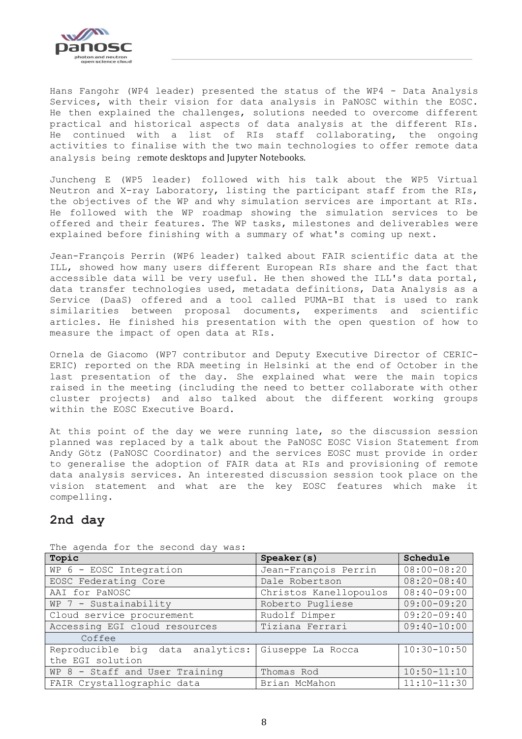

Hans Fangohr (WP4 leader) presented the status of the WP4 - Data Analysis Services, with their vision for data analysis in PaNOSC within the EOSC. He then explained the challenges, solutions needed to overcome different practical and historical aspects of data analysis at the different RIs. He continued with a list of RIs staff collaborating, the ongoing activities to finalise with the two main technologies to offer remote data analysis being remote desktops and Jupyter Notebooks.

Juncheng E (WP5 leader) followed with his talk about the WP5 Virtual Neutron and X-ray Laboratory, listing the participant staff from the RIs, the objectives of the WP and why simulation services are important at RIs. He followed with the WP roadmap showing the simulation services to be offered and their features. The WP tasks, milestones and deliverables were explained before finishing with a summary of what's coming up next.

Jean-François Perrin (WP6 leader) talked about FAIR scientific data at the ILL, showed how many users different European RIs share and the fact that accessible data will be very useful. He then showed the ILL's data portal, data transfer technologies used, metadata definitions, Data Analysis as a Service (DaaS) offered and a tool called PUMA-BI that is used to rank similarities between proposal documents, experiments and scientific articles. He finished his presentation with the open question of how to measure the impact of open data at RIs.

Ornela de Giacomo (WP7 contributor and Deputy Executive Director of CERIC-ERIC) reported on the RDA meeting in Helsinki at the end of October in the last presentation of the day. She explained what were the main topics raised in the meeting (including the need to better collaborate with other cluster projects) and also talked about the different working groups within the EOSC Executive Board.

At this point of the day we were running late, so the discussion session planned was replaced by a talk about the PaNOSC EOSC Vision Statement from Andy Götz (PaNOSC Coordinator) and the services EOSC must provide in order to generalise the adoption of FAIR data at RIs and provisioning of remote data analysis services. An interested discussion session took place on the vision statement and what are the key EOSC features which make it compelling.

#### <span id="page-7-0"></span>**2nd day**

| Topic                            | Speaker(s)                         | Schedule        |
|----------------------------------|------------------------------------|-----------------|
| WP 6 - EOSC Integration          | Jean-François Perrin               | $08:00 - 08:20$ |
| EOSC Federating Core             | Dale Robertson                     | $08:20 - 08:40$ |
| AAI for PaNOSC                   | Christos Kanellopoulos             | $08:40 - 09:00$ |
| WP 7 - Sustainability            | Roberto Pugliese                   | $09:00 - 09:20$ |
| Cloud service procurement        | Rudolf Dimper                      | $09:20 - 09:40$ |
| Accessing EGI cloud resources    | $09:40 - 10:00$<br>Tiziana Ferrari |                 |
| Coffee                           |                                    |                 |
| Reproducible big data analytics: | Giuseppe La Rocca                  | $10:30 - 10:50$ |
| the EGI solution                 |                                    |                 |
| WP 8 - Staff and User Training   | Thomas Rod                         | $10:50 - 11:10$ |
| FAIR Crystallographic data       | Brian McMahon                      | $11:10-11:30$   |

The agenda for the second day was: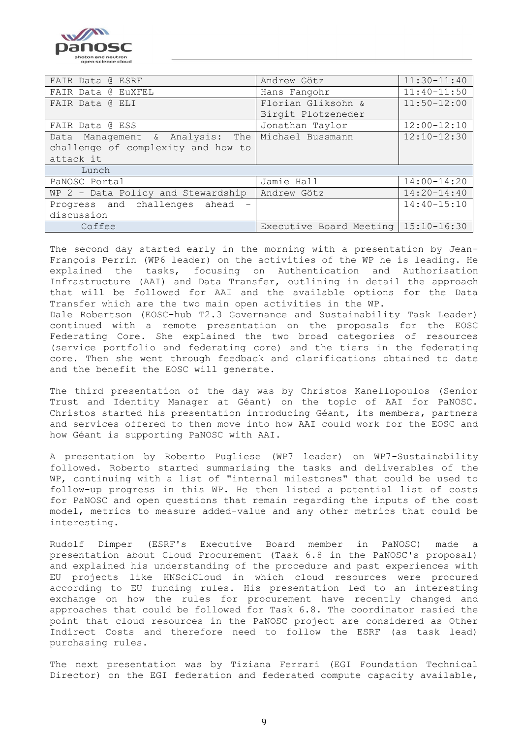

| FAIR Data @ ESRF                                 | Andrew Götz                           | $11:30 - 11:40$ |  |
|--------------------------------------------------|---------------------------------------|-----------------|--|
| FAIR Data @ EuXFEL                               | Hans Fangohr                          | $11:40 - 11:50$ |  |
| FAIR Data @ ELI                                  | Florian Gliksohn &<br>$11:50 - 12:00$ |                 |  |
|                                                  | Birgit Plotzeneder                    |                 |  |
| FAIR Data @ ESS                                  | Jonathan Taylor                       | $12:00 - 12:10$ |  |
| Data Management & Analysis: The Michael Bussmann |                                       | $12:10 - 12:30$ |  |
| challenge of complexity and how to               |                                       |                 |  |
| attack it                                        |                                       |                 |  |
| Lunch                                            |                                       |                 |  |
| PaNOSC Portal                                    | Jamie Hall                            | $14:00 - 14:20$ |  |
| WP 2 - Data Policy and Stewardship               | Andrew Götz                           | $14:20 - 14:40$ |  |
| Progress and challenges ahead                    |                                       | $14:40 - 15:10$ |  |
| discussion                                       |                                       |                 |  |
| Coffee                                           | Executive Board Meeting   15:10-16:30 |                 |  |

The second day started early in the morning with a presentation by Jean-François Perrin (WP6 leader) on the activities of the WP he is leading. He explained the tasks, focusing on Authentication and Authorisation Infrastructure (AAI) and Data Transfer, outlining in detail the approach that will be followed for AAI and the available options for the Data Transfer which are the two main open activities in the WP.

Dale Robertson (EOSC-hub T2.3 Governance and Sustainability Task Leader) continued with a remote presentation on the proposals for the EOSC Federating Core. She explained the two broad categories of resources (service portfolio and federating core) and the tiers in the federating core. Then she went through feedback and clarifications obtained to date and the benefit the EOSC will generate.

The third presentation of the day was by Christos Kanellopoulos (Senior Trust and Identity Manager at Géant) on the topic of AAI for PaNOSC. Christos started his presentation introducing Géant, its members, partners and services offered to then move into how AAI could work for the EOSC and how Géant is supporting PaNOSC with AAI.

A presentation by Roberto Pugliese (WP7 leader) on WP7-Sustainability followed. Roberto started summarising the tasks and deliverables of the WP, continuing with a list of "internal milestones" that could be used to follow-up progress in this WP. He then listed a potential list of costs for PaNOSC and open questions that remain regarding the inputs of the cost model, metrics to measure added-value and any other metrics that could be interesting.

Rudolf Dimper (ESRF's Executive Board member in PaNOSC) made a presentation about Cloud Procurement (Task 6.8 in the PaNOSC's proposal) and explained his understanding of the procedure and past experiences with EU projects like HNSciCloud in which cloud resources were procured according to EU funding rules. His presentation led to an interesting exchange on how the rules for procurement have recently changed and approaches that could be followed for Task 6.8. The coordinator rasied the point that cloud resources in the PaNOSC project are considered as Other Indirect Costs and therefore need to follow the ESRF (as task lead) purchasing rules.

The next presentation was by Tiziana Ferrari (EGI Foundation Technical Director) on the EGI federation and federated compute capacity available,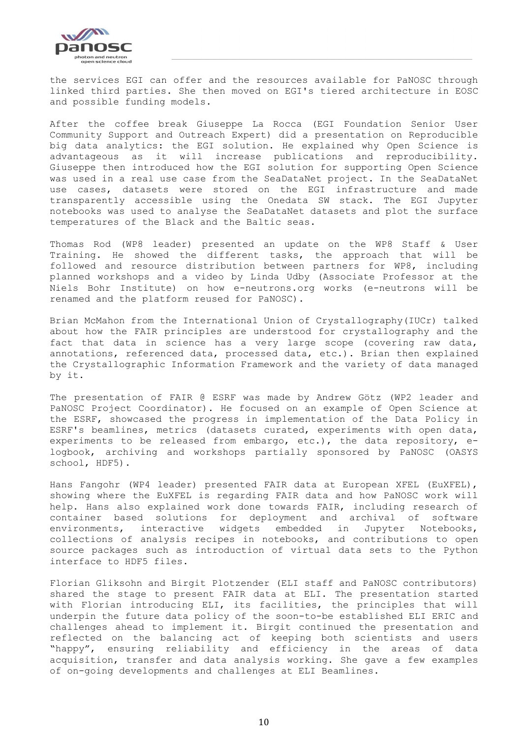

the services EGI can offer and the resources available for PaNOSC through linked third parties. She then moved on EGI's tiered architecture in EOSC and possible funding models.

After the coffee break Giuseppe La Rocca (EGI Foundation Senior User Community Support and Outreach Expert) did a presentation on Reproducible big data analytics: the EGI solution. He explained why Open Science is advantageous as it will increase publications and reproducibility. Giuseppe then introduced how the EGI solution for supporting Open Science was used in a real use case from the SeaDataNet project. In the SeaDataNet use cases, datasets were stored on the EGI infrastructure and made transparently accessible using the Onedata SW stack. The EGI Jupyter notebooks was used to analyse the SeaDataNet datasets and plot the surface temperatures of the Black and the Baltic seas.

Thomas Rod (WP8 leader) presented an update on the WP8 Staff & User Training. He showed the different tasks, the approach that will be followed and resource distribution between partners for WP8, including planned workshops and a video by Linda Udby (Associate Professor at the Niels Bohr Institute) on how e-neutrons.org works (e-neutrons will be renamed and the platform reused for PaNOSC).

Brian McMahon from the International Union of Crystallography(IUCr) talked about how the FAIR principles are understood for crystallography and the fact that data in science has a very large scope (covering raw data, annotations, referenced data, processed data, etc.). Brian then explained the Crystallographic Information Framework and the variety of data managed by it.

The presentation of FAIR @ ESRF was made by Andrew Götz (WP2 leader and PaNOSC Project Coordinator). He focused on an example of Open Science at the ESRF, showcased the progress in implementation of the Data Policy in ESRF's beamlines, metrics (datasets curated, experiments with open data, experiments to be released from embargo, etc.), the data repository, elogbook, archiving and workshops partially sponsored by PaNOSC (OASYS school, HDF5).

Hans Fangohr (WP4 leader) presented FAIR data at European XFEL (EuXFEL), showing where the EuXFEL is regarding FAIR data and how PaNOSC work will help. Hans also explained work done towards FAIR, including research of container based solutions for deployment and archival of software environments, interactive widgets embedded in Jupyter Notebooks, collections of analysis recipes in notebooks, and contributions to open source packages such as introduction of virtual data sets to the Python interface to HDF5 files.

Florian Gliksohn and Birgit Plotzender (ELI staff and PaNOSC contributors) shared the stage to present FAIR data at ELI. The presentation started with Florian introducing ELI, its facilities, the principles that will underpin the future data policy of the soon-to-be established ELI ERIC and challenges ahead to implement it. Birgit continued the presentation and reflected on the balancing act of keeping both scientists and users "happy", ensuring reliability and efficiency in the areas of data acquisition, transfer and data analysis working. She gave a few examples of on-going developments and challenges at ELI Beamlines.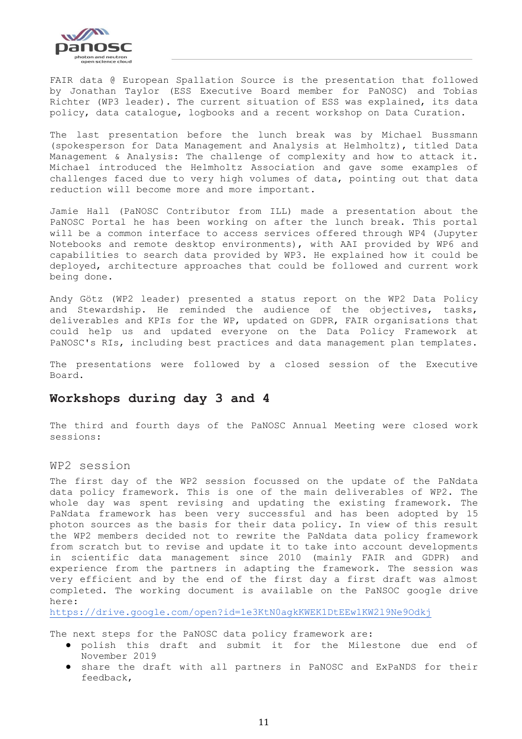

FAIR data @ European Spallation Source is the presentation that followed by Jonathan Taylor (ESS Executive Board member for PaNOSC) and Tobias Richter (WP3 leader). The current situation of ESS was explained, its data policy, data catalogue, logbooks and a recent workshop on Data Curation.

The last presentation before the lunch break was by Michael Bussmann (spokesperson for Data Management and Analysis at Helmholtz), titled Data Management & Analysis: The challenge of complexity and how to attack it. Michael introduced the Helmholtz Association and gave some examples of challenges faced due to very high volumes of data, pointing out that data reduction will become more and more important.

Jamie Hall (PaNOSC Contributor from ILL) made a presentation about the PaNOSC Portal he has been working on after the lunch break. This portal will be a common interface to access services offered through WP4 (Jupyter Notebooks and remote desktop environments), with AAI provided by WP6 and capabilities to search data provided by WP3. He explained how it could be deployed, architecture approaches that could be followed and current work being done.

Andy Götz (WP2 leader) presented a status report on the WP2 Data Policy and Stewardship. He reminded the audience of the objectives, tasks, deliverables and KPIs for the WP, updated on GDPR, FAIR organisations that could help us and updated everyone on the Data Policy Framework at PaNOSC's RIs, including best practices and data management plan templates.

The presentations were followed by a closed session of the Executive Board.

#### <span id="page-10-0"></span>**Workshops during day 3 and 4**

The third and fourth days of the PaNOSC Annual Meeting were closed work sessions:

#### <span id="page-10-1"></span>WP2 session

The first day of the WP2 session focussed on the update of the PaNdata data policy framework. This is one of the main deliverables of WP2. The whole day was spent revising and updating the existing framework. The PaNdata framework has been very successful and has been adopted by 15 photon sources as the basis for their data policy. In view of this result the WP2 members decided not to rewrite the PaNdata data policy framework from scratch but to revise and update it to take into account developments in scientific data management since 2010 (mainly FAIR and GDPR) and experience from the partners in adapting the framework. The session was very efficient and by the end of the first day a first draft was almost completed. The working document is available on the PaNSOC google drive here:

<https://drive.google.com/open?id=1e3KtN0agkKWEK1DtEEw1KW2l9Ne9Odkj>

The next steps for the PaNOSC data policy framework are:

- polish this draft and submit it for the Milestone due end of November 2019
- share the draft with all partners in PaNOSC and ExPaNDS for their feedback,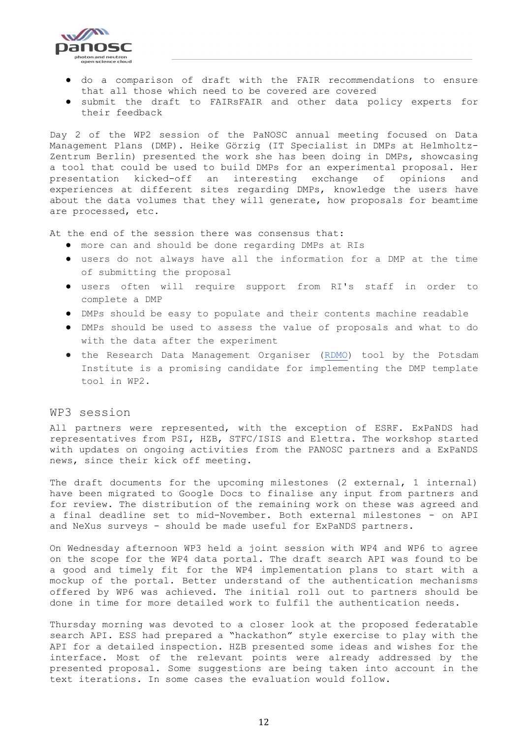

- do a comparison of draft with the FAIR recommendations to ensure that all those which need to be covered are covered
- submit the draft to FAIRsFAIR and other data policy experts for their feedback

Day 2 of the WP2 session of the PaNOSC annual meeting focused on Data Management Plans (DMP). Heike Görzig (IT Specialist in DMPs at Helmholtz-Zentrum Berlin) presented the work she has been doing in DMPs, showcasing a tool that could be used to build DMPs for an experimental proposal. Her presentation kicked-off an interesting exchange of opinions and experiences at different sites regarding DMPs, knowledge the users have about the data volumes that they will generate, how proposals for beamtime are processed, etc.

At the end of the session there was consensus that:

- more can and should be done regarding DMPs at RIs
- users do not always have all the information for a DMP at the time of submitting the proposal
- users often will require support from RI's staff in order to complete a DMP
- DMPs should be easy to populate and their contents machine readable
- DMPs should be used to assess the value of proposals and what to do with the data after the experiment
- the Research Data Management Organiser [\(RDMO\)](https://rdmorganiser.github.io/en/) tool by the Potsdam Institute is a promising candidate for implementing the DMP template tool in WP2.

#### <span id="page-11-0"></span>WP3 session

All partners were represented, with the exception of ESRF. ExPaNDS had representatives from PSI, HZB, STFC/ISIS and Elettra. The workshop started with updates on ongoing activities from the PANOSC partners and a ExPaNDS news, since their kick off meeting.

The draft documents for the upcoming milestones (2 external, 1 internal) have been migrated to Google Docs to finalise any input from partners and for review. The distribution of the remaining work on these was agreed and a final deadline set to mid-November. Both external milestones - on API and NeXus surveys - should be made useful for ExPaNDS partners.

On Wednesday afternoon WP3 held a joint session with WP4 and WP6 to agree on the scope for the WP4 data portal. The draft search API was found to be a good and timely fit for the WP4 implementation plans to start with a mockup of the portal. Better understand of the authentication mechanisms offered by WP6 was achieved. The initial roll out to partners should be done in time for more detailed work to fulfil the authentication needs.

Thursday morning was devoted to a closer look at the proposed federatable search API. ESS had prepared a "hackathon" style exercise to play with the API for a detailed inspection. HZB presented some ideas and wishes for the interface. Most of the relevant points were already addressed by the presented proposal. Some suggestions are being taken into account in the text iterations. In some cases the evaluation would follow.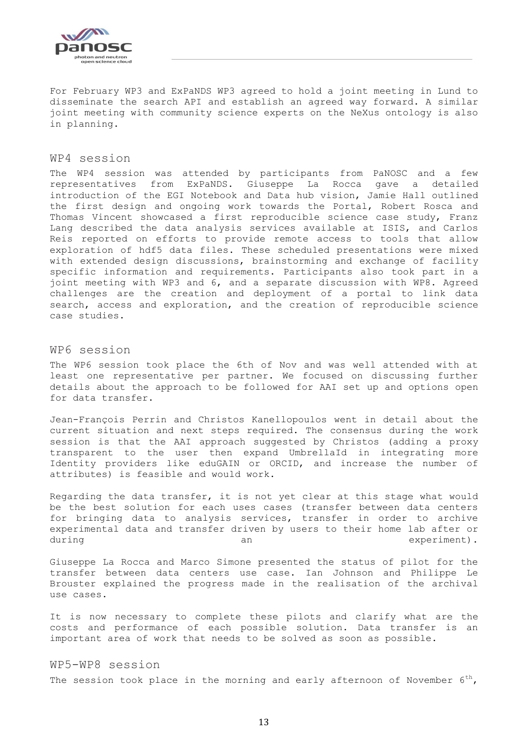

For February WP3 and ExPaNDS WP3 agreed to hold a joint meeting in Lund to disseminate the search API and establish an agreed way forward. A similar joint meeting with community science experts on the NeXus ontology is also in planning.

#### <span id="page-12-0"></span>WP4 session

The WP4 session was attended by participants from PaNOSC and a few representatives from ExPaNDS. Giuseppe La Rocca gave a detailed introduction of the EGI Notebook and Data hub vision, Jamie Hall outlined the first design and ongoing work towards the Portal, Robert Rosca and Thomas Vincent showcased a first reproducible science case study, Franz Lang described the data analysis services available at ISIS, and Carlos Reis reported on efforts to provide remote access to tools that allow exploration of hdf5 data files. These scheduled presentations were mixed with extended design discussions, brainstorming and exchange of facility specific information and requirements. Participants also took part in a joint meeting with WP3 and 6, and a separate discussion with WP8. Agreed challenges are the creation and deployment of a portal to link data search, access and exploration, and the creation of reproducible science case studies.

#### <span id="page-12-1"></span>WP6 session

The WP6 session took place the 6th of Nov and was well attended with at least one representative per partner. We focused on discussing further details about the approach to be followed for AAI set up and options open for data transfer.

Jean-François Perrin and Christos Kanellopoulos went in detail about the current situation and next steps required. The consensus during the work session is that the AAI approach suggested by Christos (adding a proxy transparent to the user then expand UmbrellaId in integrating more Identity providers like eduGAIN or ORCID, and increase the number of attributes) is feasible and would work.

Regarding the data transfer, it is not yet clear at this stage what would be the best solution for each uses cases (transfer between data centers for bringing data to analysis services, transfer in order to archive experimental data and transfer driven by users to their home lab after or during an an experiment).

Giuseppe La Rocca and Marco Simone presented the status of pilot for the transfer between data centers use case. Ian Johnson and Philippe Le Brouster explained the progress made in the realisation of the archival use cases.

It is now necessary to complete these pilots and clarify what are the costs and performance of each possible solution. Data transfer is an important area of work that needs to be solved as soon as possible.

### <span id="page-12-2"></span>WP5-WP8 session

The session took place in the morning and early afternoon of November  $6^{th}$ ,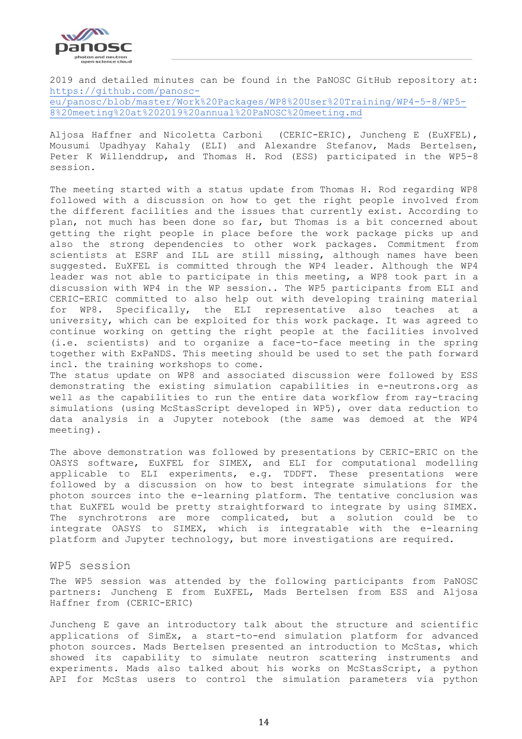

2019 and detailed minutes can be found in the PaNOSC GitHub repository at: [https://github.com/panosc](https://github.com/panosc-eu/panosc/blob/master/Work%20Packages/WP8%20User%20Training/WP4-5-8/WP5-8%20meeting%20at%202019%20annual%20PaNOSC%20meeting.md)[eu/panosc/blob/master/Work%20Packages/WP8%20User%20Training/WP4-5-8/WP5-](https://github.com/panosc-eu/panosc/blob/master/Work%20Packages/WP8%20User%20Training/WP4-5-8/WP5-8%20meeting%20at%202019%20annual%20PaNOSC%20meeting.md) [8%20meeting%20at%202019%20annual%20PaNOSC%20meeting.md](https://github.com/panosc-eu/panosc/blob/master/Work%20Packages/WP8%20User%20Training/WP4-5-8/WP5-8%20meeting%20at%202019%20annual%20PaNOSC%20meeting.md)

Aljosa Haffner and Nicoletta Carboni (CERIC-ERIC), Juncheng E (EuXFEL), Mousumi Upadhyay Kahaly (ELI) and Alexandre Stefanov, Mads Bertelsen, Peter K Willenddrup, and Thomas H. Rod (ESS) participated in the WP5-8 session.

The meeting started with a status update from Thomas H. Rod regarding WP8 followed with a discussion on how to get the right people involved from the different facilities and the issues that currently exist. According to plan, not much has been done so far, but Thomas is a bit concerned about getting the right people in place before the work package picks up and also the strong dependencies to other work packages. Commitment from scientists at ESRF and ILL are still missing, although names have been suggested. EuXFEL is committed through the WP4 leader. Although the WP4 leader was not able to participate in this meeting, a WP8 took part in a discussion with WP4 in the WP session.. The WP5 participants from ELI and CERIC-ERIC committed to also help out with developing training material for WP8. Specifically, the ELI representative also teaches at a university, which can be exploited for this work package. It was agreed to continue working on getting the right people at the facilities involved (i.e. scientists) and to organize a face-to-face meeting in the spring together with ExPaNDS. This meeting should be used to set the path forward incl. the training workshops to come. The status update on WP8 and associated discussion were followed by ESS

demonstrating the existing simulation capabilities in e-neutrons.org as well as the capabilities to run the entire data workflow from ray-tracing simulations (using McStasScript developed in WP5), over data reduction to data analysis in a Jupyter notebook (the same was demoed at the WP4 meeting).

The above demonstration was followed by presentations by CERIC-ERIC on the OASYS software, EuXFEL for SIMEX, and ELI for computational modelling applicable to ELI experiments, e.g. TDDFT. These presentations were followed by a discussion on how to best integrate simulations for the photon sources into the e-learning platform. The tentative conclusion was that EuXFEL would be pretty straightforward to integrate by using SIMEX. The synchrotrons are more complicated, but a solution could be to integrate OASYS to SIMEX, which is integratable with the e-learning platform and Jupyter technology, but more investigations are required.

#### <span id="page-13-0"></span>WP5 session

The WP5 session was attended by the following participants from PaNOSC partners: Juncheng E from EuXFEL, Mads Bertelsen from ESS and Aljosa Haffner from (CERIC-ERIC)

Juncheng E gave an introductory talk about the structure and scientific applications of SimEx, a start-to-end simulation platform for advanced photon sources. Mads Bertelsen presented an introduction to McStas, which showed its capability to simulate neutron scattering instruments and experiments. Mads also talked about his works on McStasScript, a python API for McStas users to control the simulation parameters via python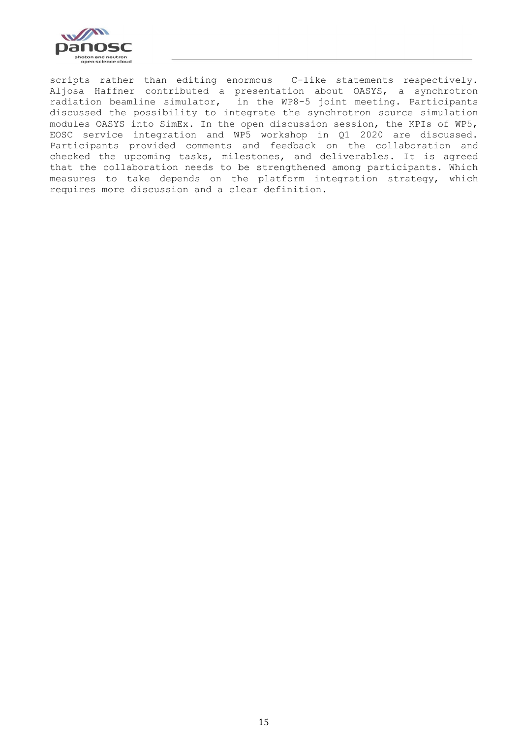

scripts rather than editing enormous C-like statements respectively. Aljosa Haffner contributed a presentation about OASYS, a synchrotron radiation beamline simulator, in the WP8-5 joint meeting. Participants discussed the possibility to integrate the synchrotron source simulation modules OASYS into SimEx. In the open discussion session, the KPIs of WP5, EOSC service integration and WP5 workshop in Q1 2020 are discussed. Participants provided comments and feedback on the collaboration and checked the upcoming tasks, milestones, and deliverables. It is agreed that the collaboration needs to be strengthened among participants. Which measures to take depends on the platform integration strategy, which requires more discussion and a clear definition.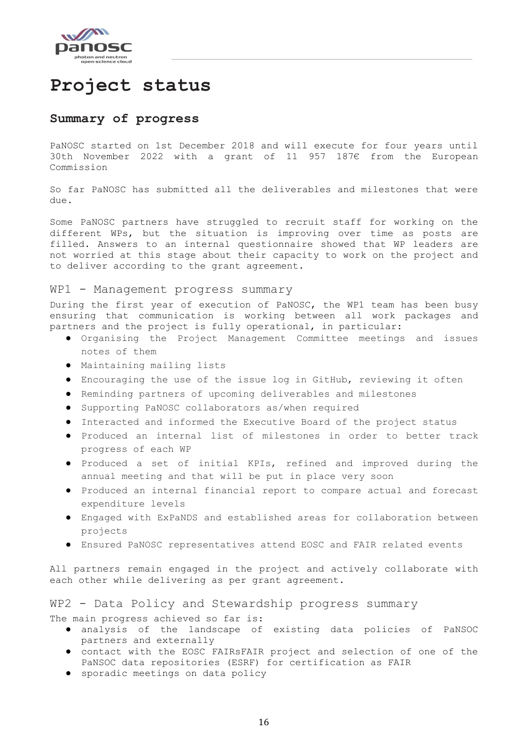

# <span id="page-15-0"></span>**Project status**

#### <span id="page-15-1"></span>**Summary of progress**

PaNOSC started on 1st December 2018 and will execute for four years until 30th November 2022 with a grant of 11 957 187€ from the European Commission

So far PaNOSC has submitted all the deliverables and milestones that were due.

Some PaNOSC partners have struggled to recruit staff for working on the different WPs, but the situation is improving over time as posts are filled. Answers to an internal questionnaire showed that WP leaders are not worried at this stage about their capacity to work on the project and to deliver according to the grant agreement.

#### <span id="page-15-2"></span>WP1 - Management progress summary

During the first year of execution of PaNOSC, the WP1 team has been busy ensuring that communication is working between all work packages and partners and the project is fully operational, in particular:

- Organising the Project Management Committee meetings and issues notes of them
- Maintaining mailing lists
- Encouraging the use of the issue log in GitHub, reviewing it often
- Reminding partners of upcoming deliverables and milestones
- Supporting PaNOSC collaborators as/when required
- Interacted and informed the Executive Board of the project status
- Produced an internal list of milestones in order to better track progress of each WP
- Produced a set of initial KPIs, refined and improved during the annual meeting and that will be put in place very soon
- Produced an internal financial report to compare actual and forecast expenditure levels
- Engaged with ExPaNDS and established areas for collaboration between projects
- Ensured PaNOSC representatives attend EOSC and FAIR related events

All partners remain engaged in the project and actively collaborate with each other while delivering as per grant agreement.

<span id="page-15-3"></span>WP2 - Data Policy and Stewardship progress summary The main progress achieved so far is:

- analysis of the landscape of existing data policies of PaNSOC partners and externally
- contact with the EOSC FAIRsFAIR project and selection of one of the PaNSOC data repositories (ESRF) for certification as FAIR
- sporadic meetings on data policy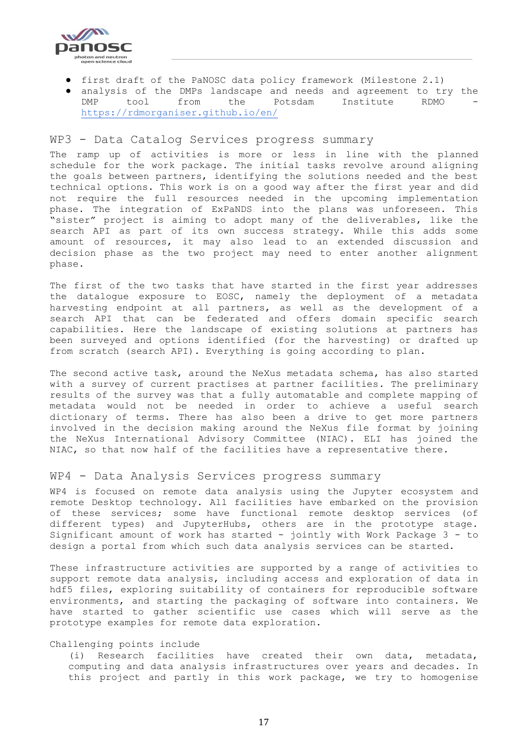

- first draft of the PaNOSC data policy framework (Milestone 2.1)
- analysis of the DMPs landscape and needs and agreement to try the DMP tool from the Potsdam Institute RDMO <https://rdmorganiser.github.io/en/>

#### <span id="page-16-0"></span>WP3 - Data Catalog Services progress summary

The ramp up of activities is more or less in line with the planned schedule for the work package. The initial tasks revolve around aligning the goals between partners, identifying the solutions needed and the best technical options. This work is on a good way after the first year and did not require the full resources needed in the upcoming implementation phase. The integration of ExPaNDS into the plans was unforeseen. This "sister" project is aiming to adopt many of the deliverables, like the search API as part of its own success strategy. While this adds some amount of resources, it may also lead to an extended discussion and decision phase as the two project may need to enter another alignment phase.

The first of the two tasks that have started in the first year addresses the datalogue exposure to EOSC, namely the deployment of a metadata harvesting endpoint at all partners, as well as the development of a search API that can be federated and offers domain specific search capabilities. Here the landscape of existing solutions at partners has been surveyed and options identified (for the harvesting) or drafted up from scratch (search API). Everything is going according to plan.

The second active task, around the NeXus metadata schema, has also started with a survey of current practises at partner facilities. The preliminary results of the survey was that a fully automatable and complete mapping of metadata would not be needed in order to achieve a useful search dictionary of terms. There has also been a drive to get more partners involved in the decision making around the NeXus file format by joining the NeXus International Advisory Committee (NIAC). ELI has joined the NIAC, so that now half of the facilities have a representative there.

#### <span id="page-16-1"></span>WP4 - Data Analysis Services progress summary

WP4 is focused on remote data analysis using the Jupyter ecosystem and remote Desktop technology. All facilities have embarked on the provision of these services; some have functional remote desktop services (of different types) and JupyterHubs, others are in the prototype stage. Significant amount of work has started - jointly with Work Package 3 - to design a portal from which such data analysis services can be started.

These infrastructure activities are supported by a range of activities to support remote data analysis, including access and exploration of data in hdf5 files, exploring suitability of containers for reproducible software environments, and starting the packaging of software into containers. We have started to gather scientific use cases which will serve as the prototype examples for remote data exploration.

#### Challenging points include

(i) Research facilities have created their own data, metadata, computing and data analysis infrastructures over years and decades. In this project and partly in this work package, we try to homogenise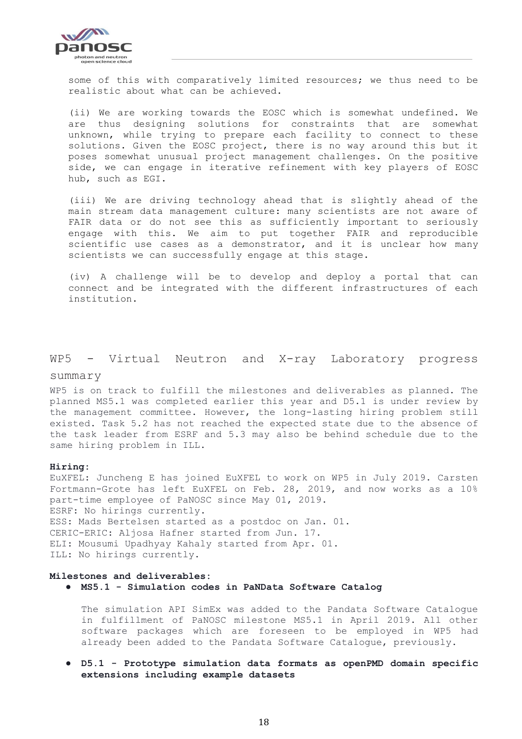

some of this with comparatively limited resources; we thus need to be realistic about what can be achieved.

(ii) We are working towards the EOSC which is somewhat undefined. We are thus designing solutions for constraints that are somewhat unknown, while trying to prepare each facility to connect to these solutions. Given the EOSC project, there is no way around this but it poses somewhat unusual project management challenges. On the positive side, we can engage in iterative refinement with key players of EOSC hub, such as EGI.

(iii) We are driving technology ahead that is slightly ahead of the main stream data management culture: many scientists are not aware of FAIR data or do not see this as sufficiently important to seriously engage with this. We aim to put together FAIR and reproducible scientific use cases as a demonstrator, and it is unclear how many scientists we can successfully engage at this stage.

(iv) A challenge will be to develop and deploy a portal that can connect and be integrated with the different infrastructures of each institution.

#### <span id="page-17-0"></span>WP5 - Virtual Neutron and X-ray Laboratory progress

#### summary

WP5 is on track to fulfill the milestones and deliverables as planned. The planned MS5.1 was completed earlier this year and D5.1 is under review by the management committee. However, the long-lasting hiring problem still existed. Task 5.2 has not reached the expected state due to the absence of the task leader from ESRF and 5.3 may also be behind schedule due to the same hiring problem in ILL.

#### **Hiring:**

EuXFEL: Juncheng E has joined EuXFEL to work on WP5 in July 2019. Carsten Fortmann-Grote has left EuXFEL on Feb. 28, 2019, and now works as a 10% part-time employee of PaNOSC since May 01, 2019. ESRF: No hirings currently. ESS: Mads Bertelsen started as a postdoc on Jan. 01. CERIC-ERIC: Aljosa Hafner started from Jun. 17. ELI: Mousumi Upadhyay Kahaly started from Apr. 01. ILL: No hirings currently.

#### **Milestones and deliverables:**

● **MS5.1 - Simulation codes in PaNData Software Catalog**

The simulation API SimEx was added to the Pandata Software Catalogue in fulfillment of PaNOSC milestone MS5.1 in April 2019. All other software packages which are foreseen to be employed in WP5 had already been added to the Pandata Software Catalogue, previously.

● **D5.1 - Prototype simulation data formats as openPMD domain specific extensions including example datasets**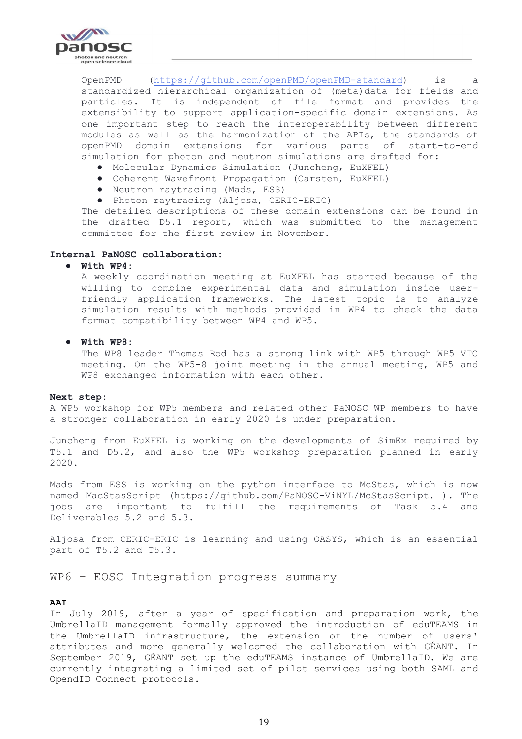

OpenPMD [\(https://github.com/openPMD/openPMD-standard\)](https://github.com/openPMD/openPMD-standard) is a standardized hierarchical organization of (meta)data for fields and particles. It is independent of file format and provides the extensibility to support application-specific domain extensions. As one important step to reach the interoperability between different modules as well as the harmonization of the APIs, the standards of openPMD domain extensions for various parts of start-to-end simulation for photon and neutron simulations are drafted for:

- Molecular Dynamics Simulation (Juncheng, EuXFEL)
- Coherent Wavefront Propagation (Carsten, EuXFEL)
- Neutron raytracing (Mads, ESS)
- Photon raytracing (Aljosa, CERIC-ERIC)

The detailed descriptions of these domain extensions can be found in the drafted D5.1 report, which was submitted to the management committee for the first review in November.

#### **Internal PaNOSC collaboration:**

#### ● **With WP4:**

A weekly coordination meeting at EuXFEL has started because of the willing to combine experimental data and simulation inside userfriendly application frameworks. The latest topic is to analyze simulation results with methods provided in WP4 to check the data format compatibility between WP4 and WP5.

#### ● **With WP8:**

The WP8 leader Thomas Rod has a strong link with WP5 through WP5 VTC meeting. On the WP5-8 joint meeting in the annual meeting, WP5 and WP8 exchanged information with each other.

#### **Next step:**

A WP5 workshop for WP5 members and related other PaNOSC WP members to have a stronger collaboration in early 2020 is under preparation.

Juncheng from EuXFEL is working on the developments of SimEx required by T5.1 and D5.2, and also the WP5 workshop preparation planned in early 2020.

Mads from ESS is working on the python interface to McStas, which is now named MacStasScript (https://github.com/PaNOSC-ViNYL/McStasScript. ). The jobs are important to fulfill the requirements of Task 5.4 and Deliverables 5.2 and 5.3.

Aljosa from CERIC-ERIC is learning and using OASYS, which is an essential part of T5.2 and T5.3.

<span id="page-18-0"></span>WP6 - EOSC Integration progress summary

#### **AAI**

In July 2019, after a year of specification and preparation work, the UmbrellaID management formally approved the introduction of eduTEAMS in the UmbrellaID infrastructure, the extension of the number of users' attributes and more generally welcomed the collaboration with GÉANT. In September 2019, GÉANT set up the eduTEAMS instance of UmbrellaID. We are currently integrating a limited set of pilot services using both SAML and OpendID Connect protocols.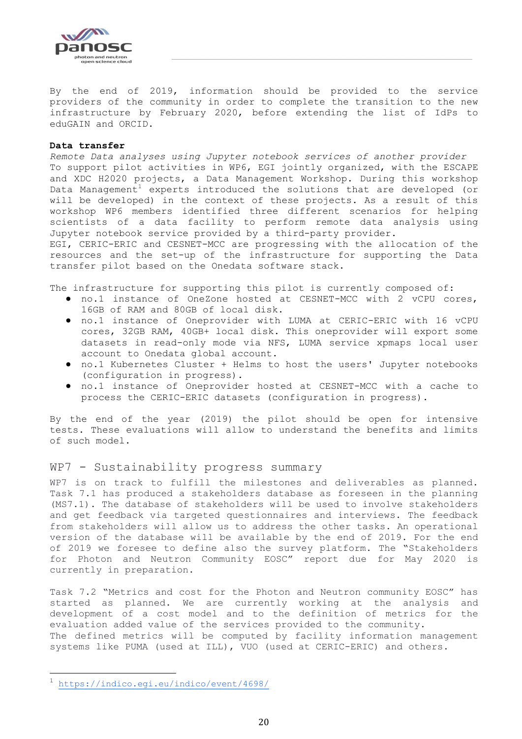

By the end of 2019, information should be provided to the service providers of the community in order to complete the transition to the new infrastructure by February 2020, before extending the list of IdPs to eduGAIN and ORCID.

#### **Data transfer**

*Remote Data analyses using Jupyter notebook services of another provider* To support pilot activities in WP6, EGI jointly organized, with the ESCAPE and XDC H2020 projects, a Data Management Workshop. During this workshop Data Management<sup>1</sup> experts introduced the solutions that are developed (or will be developed) in the context of these projects. As a result of this workshop WP6 members identified three different scenarios for helping scientists of a data facility to perform remote data analysis using Jupyter notebook service provided by a third-party provider.

EGI, CERIC-ERIC and CESNET-MCC are progressing with the allocation of the resources and the set-up of the infrastructure for supporting the Data transfer pilot based on the Onedata software stack.

The infrastructure for supporting this pilot is currently composed of:

- no.1 instance of OneZone hosted at CESNET-MCC with 2 vCPU cores, 16GB of RAM and 80GB of local disk.
- no.1 instance of Oneprovider with LUMA at CERIC-ERIC with 16 vCPU cores, 32GB RAM, 40GB+ local disk. This oneprovider will export some datasets in read-only mode via NFS, LUMA service xpmaps local user account to Onedata global account.
- no.1 Kubernetes Cluster + Helms to host the users' Jupyter notebooks (configuration in progress).
- no.1 instance of Oneprovider hosted at CESNET-MCC with a cache to process the CERIC-ERIC datasets (configuration in progress).

By the end of the year (2019) the pilot should be open for intensive tests. These evaluations will allow to understand the benefits and limits of such model.

#### <span id="page-19-0"></span>WP7 - Sustainability progress summary

WP7 is on track to fulfill the milestones and deliverables as planned. Task 7.1 has produced a stakeholders database as foreseen in the planning (MS7.1). The database of stakeholders will be used to involve stakeholders and get feedback via targeted questionnaires and interviews. The feedback from stakeholders will allow us to address the other tasks. An operational version of the database will be available by the end of 2019. For the end of 2019 we foresee to define also the survey platform. The "Stakeholders for Photon and Neutron Community EOSC" report due for May 2020 is currently in preparation.

Task 7.2 "Metrics and cost for the Photon and Neutron community EOSC" has started as planned. We are currently working at the analysis and development of a cost model and to the definition of metrics for the evaluation added value of the services provided to the community. The defined metrics will be computed by facility information management systems like PUMA (used at ILL), VUO (used at CERIC-ERIC) and others.

i<br>L

<sup>1</sup> <https://indico.egi.eu/indico/event/4698/>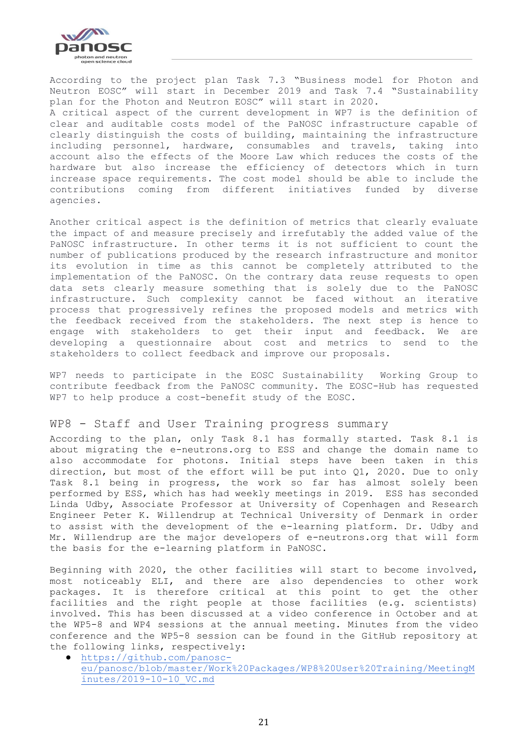

According to the project plan Task 7.3 "Business model for Photon and Neutron EOSC" will start in December 2019 and Task 7.4 "Sustainability plan for the Photon and Neutron EOSC" will start in 2020. A critical aspect of the current development in WP7 is the definition of clear and auditable costs model of the PaNOSC infrastructure capable of clearly distinguish the costs of building, maintaining the infrastructure including personnel, hardware, consumables and travels, taking into account also the effects of the Moore Law which reduces the costs of the hardware but also increase the efficiency of detectors which in turn increase space requirements. The cost model should be able to include the contributions coming from different initiatives funded by diverse agencies.

Another critical aspect is the definition of metrics that clearly evaluate the impact of and measure precisely and irrefutably the added value of the PaNOSC infrastructure. In other terms it is not sufficient to count the number of publications produced by the research infrastructure and monitor its evolution in time as this cannot be completely attributed to the implementation of the PaNOSC. On the contrary data reuse requests to open data sets clearly measure something that is solely due to the PaNOSC infrastructure. Such complexity cannot be faced without an iterative process that progressively refines the proposed models and metrics with the feedback received from the stakeholders. The next step is hence to engage with stakeholders to get their input and feedback. We are developing a questionnaire about cost and metrics to send to the stakeholders to collect feedback and improve our proposals.

WP7 needs to participate in the EOSC Sustainability Working Group to contribute feedback from the PaNOSC community. The EOSC-Hub has requested WP7 to help produce a cost-benefit study of the EOSC.

#### <span id="page-20-0"></span>WP8 - Staff and User Training progress summary

According to the plan, only Task 8.1 has formally started. Task 8.1 is about migrating the e-neutrons.org to ESS and change the domain name to also accommodate for photons. Initial steps have been taken in this direction, but most of the effort will be put into Q1, 2020. Due to only Task 8.1 being in progress, the work so far has almost solely been performed by ESS, which has had weekly meetings in 2019. ESS has seconded Linda Udby, Associate Professor at University of Copenhagen and Research Engineer Peter K. Willendrup at Technical University of Denmark in order to assist with the development of the e-learning platform. Dr. Udby and Mr. Willendrup are the major developers of e-neutrons.org that will form the basis for the e-learning platform in PaNOSC.

Beginning with 2020, the other facilities will start to become involved, most noticeably ELI, and there are also dependencies to other work packages. It is therefore critical at this point to get the other facilities and the right people at those facilities (e.g. scientists) involved. This has been discussed at a video conference in October and at the WP5-8 and WP4 sessions at the annual meeting. Minutes from the video conference and the WP5-8 session can be found in the GitHub repository at the following links, respectively:

[https://github.com/panosc](https://github.com/panosc-eu/panosc/blob/master/Work%20Packages/WP8%20User%20Training/MeetingMinutes/2019-10-10_VC.md)[eu/panosc/blob/master/Work%20Packages/WP8%20User%20Training/MeetingM](https://github.com/panosc-eu/panosc/blob/master/Work%20Packages/WP8%20User%20Training/MeetingMinutes/2019-10-10_VC.md) [inutes/2019-10-10\\_VC.md](https://github.com/panosc-eu/panosc/blob/master/Work%20Packages/WP8%20User%20Training/MeetingMinutes/2019-10-10_VC.md)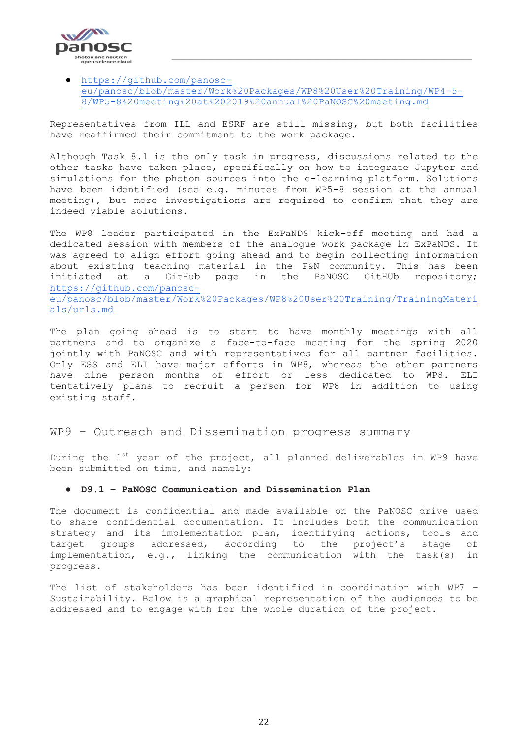

#### ● [https://github.com/panosc](https://github.com/panosc-eu/panosc/blob/master/Work%20Packages/WP8%20User%20Training/WP4-5-8/WP5-8%20meeting%20at%202019%20annual%20PaNOSC%20meeting.md)[eu/panosc/blob/master/Work%20Packages/WP8%20User%20Training/WP4-5-](https://github.com/panosc-eu/panosc/blob/master/Work%20Packages/WP8%20User%20Training/WP4-5-8/WP5-8%20meeting%20at%202019%20annual%20PaNOSC%20meeting.md) [8/WP5-8%20meeting%20at%202019%20annual%20PaNOSC%20meeting.md](https://github.com/panosc-eu/panosc/blob/master/Work%20Packages/WP8%20User%20Training/WP4-5-8/WP5-8%20meeting%20at%202019%20annual%20PaNOSC%20meeting.md)

Representatives from ILL and ESRF are still missing, but both facilities have reaffirmed their commitment to the work package.

Although Task 8.1 is the only task in progress, discussions related to the other tasks have taken place, specifically on how to integrate Jupyter and simulations for the photon sources into the e-learning platform. Solutions have been identified (see e.g. minutes from WP5-8 session at the annual meeting), but more investigations are required to confirm that they are indeed viable solutions.

The WP8 leader participated in the ExPaNDS kick-off meeting and had a dedicated session with members of the analogue work package in ExPaNDS. It was agreed to align effort going ahead and to begin collecting information about existing teaching material in the P&N community. This has been initiated at a GitHub page in the PaNOSC GitHUb repository; [https://github.com/panosc](https://github.com/panosc-eu/panosc/blob/master/Work%20Packages/WP8%20User%20Training/TrainingMaterials/urls.md)[eu/panosc/blob/master/Work%20Packages/WP8%20User%20Training/TrainingMateri](https://github.com/panosc-eu/panosc/blob/master/Work%20Packages/WP8%20User%20Training/TrainingMaterials/urls.md) [als/urls.md](https://github.com/panosc-eu/panosc/blob/master/Work%20Packages/WP8%20User%20Training/TrainingMaterials/urls.md)

The plan going ahead is to start to have monthly meetings with all partners and to organize a face-to-face meeting for the spring 2020 jointly with PaNOSC and with representatives for all partner facilities. Only ESS and ELI have major efforts in WP8, whereas the other partners have nine person months of effort or less dedicated to WP8. ELI tentatively plans to recruit a person for WP8 in addition to using existing staff.

#### <span id="page-21-0"></span>WP9 - Outreach and Dissemination progress summary

During the 1<sup>st</sup> year of the project, all planned deliverables in WP9 have been submitted on time, and namely:

#### ● **D9.1 – PaNOSC Communication and Dissemination Plan**

The document is confidential and made available on the PaNOSC drive used to share confidential documentation. It includes both the communication strategy and its implementation plan, identifying actions, tools and target groups addressed, according to the project's stage of implementation, e.g., linking the communication with the task(s) in progress.

The list of stakeholders has been identified in coordination with WP7 – Sustainability. Below is a graphical representation of the audiences to be addressed and to engage with for the whole duration of the project.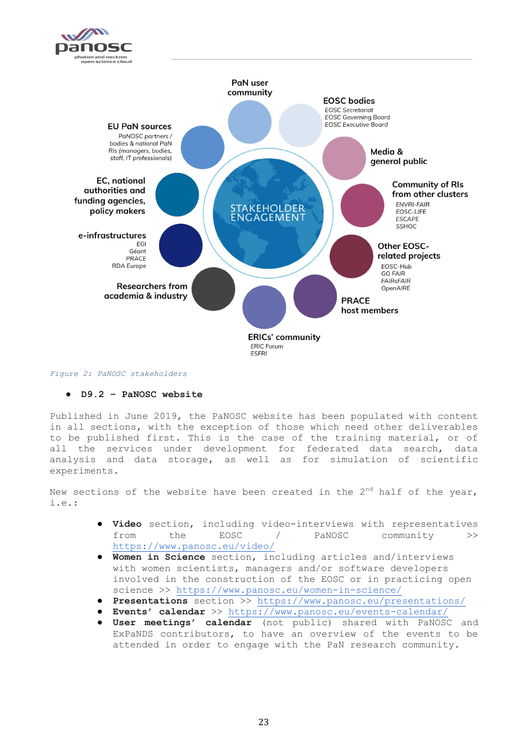



#### *Figure 2: PaNOSC stakeholders*

#### ● **D9.2 – PaNOSC website**

Published in June 2019, the PaNOSC website has been populated with content in all sections, with the exception of those which need other deliverables to be published first. This is the case of the training material, or of all the services under development for federated data search, data analysis and data storage, as well as for simulation of scientific experiments.

New sections of the website have been created in the  $2<sup>nd</sup>$  half of the year,  $i.e.$ :

- **Video** section, including video-interviews with representatives from the EOSC / PaNOSC community [>](https://www.panosc.eu/video/)> <https://www.panosc.eu/video/>
- Women in Science section, including articles and/interviews with women scientists, managers and/or software developers involved in the construction of the EOSC or in practicing open science >[>](https://www.panosc.eu/women-in-science/) <https://www.panosc.eu/women-in-science/>
- **Presentations** section >> <https://www.panosc.eu/presentations/>
- **Events' calendar** >> <https://www.panosc.eu/events-calendar/>
- **User meetings' calendar** (not public) shared with PaNOSC and ExPaNDS contributors, to have an overview of the events to be attended in order to engage with the PaN research community.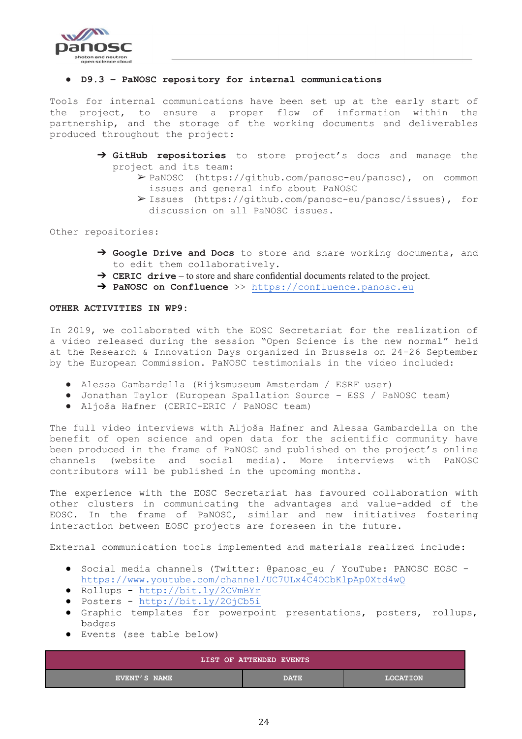

#### ● **D9.3 – PaNOSC repository for internal communications**

Tools for internal communications have been set up at the early start of the project, to ensure a proper flow of information within the partnership, and the storage of the working documents and deliverables produced throughout the project:

- ➔ **GitHub repositories** to store project's docs and manage the project and its team:
	- ➢ PaNOSC (https://github.com/panosc-eu/panosc), on common issues and general info about PaNOSC
	- ➢ Issues (https://github.com/panosc-eu/panosc/issues), for discussion on all PaNOSC issues.

Other repositories:

- ➔ **Google Drive and Docs** to store and share working documents, and to edit them collaboratively.
- ➔ **CERIC drive** to store and share confidential documents related to the project.
- ➔ **PaNOSC on Confluence** >[>](https://confluence.panosc.eu/) [https://confluence.panosc.eu](https://confluence.panosc.eu/)

#### **OTHER ACTIVITIES IN WP9:**

In 2019, we collaborated with the EOSC Secretariat for the realization of a video released during the session "Open Science is the new normal" held at the Research & Innovation Days organized in Brussels on 24-26 September by the European Commission. PaNOSC testimonials in the video included:

- Alessa Gambardella (Rijksmuseum Amsterdam / ESRF user)
- Jonathan Taylor (European Spallation Source ESS / PaNOSC team)
- Aljoša Hafner (CERIC-ERIC / PaNOSC team)

The full video interviews with Aljoša Hafner and Alessa Gambardella on the benefit of open science and open data for the scientific community have been produced in the frame of PaNOSC and published on the project's online channels (website and social media). More interviews with PaNOSC contributors will be published in the upcoming months.

The experience with the EOSC Secretariat has favoured collaboration with other clusters in communicating the advantages and value-added of the EOSC. In the frame of PaNOSC, similar and new initiatives fostering interaction between EOSC projects are foreseen in the future.

External communication tools implemented and materials realized include:

- Social media channels (Twitter: @panosc eu / YouTube: PANOSC EOSC  <https://www.youtube.com/channel/UC7ULx4C4OCbKlpAp0Xtd4wQ>
- Rollups <http://bit.ly/2CVmBYr>
- Posters <http://bit.ly/2OjCb5i>
- Graphic templates for powerpoint presentations, posters, rollups, badges
- Events (see table below)

| LIST OF ATTENDED EVENTS |             |                 |  |  |  |
|-------------------------|-------------|-----------------|--|--|--|
| EVENT'S NAME            | <b>DATE</b> | <b>LOCATION</b> |  |  |  |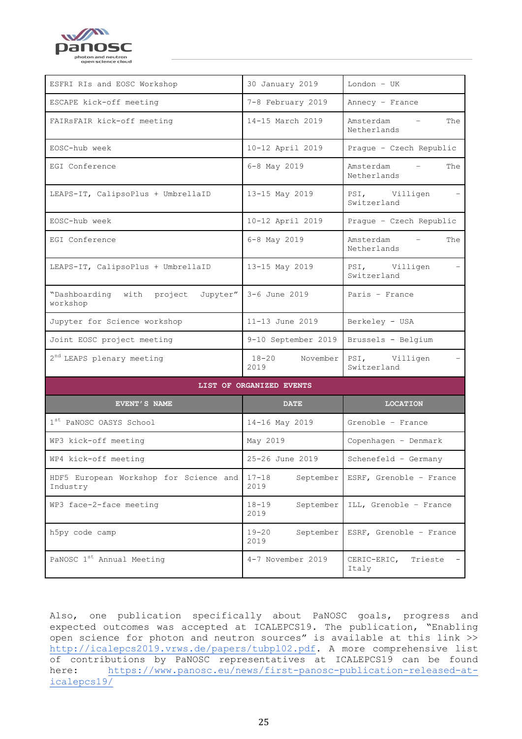

| ESFRI RIs and EOSC Workshop                        | 30 January 2019                | London - UK                                                 |  |
|----------------------------------------------------|--------------------------------|-------------------------------------------------------------|--|
| ESCAPE kick-off meeting                            | 7-8 February 2019              | Annecy - France                                             |  |
| FAIRSFAIR kick-off meeting                         | 14-15 March 2019               | Amsterdam<br>The<br>$\sim$<br>Netherlands                   |  |
| EOSC-hub week                                      | 10-12 April 2019               | Prague - Czech Republic                                     |  |
| EGI Conference                                     | 6-8 May 2019                   | Amsterdam<br>The<br>$\overline{\phantom{0}}$<br>Netherlands |  |
| LEAPS-IT, CalipsoPlus + UmbrellaID                 | 13-15 May 2019                 | PSI, Villigen<br>Switzerland                                |  |
| EOSC-hub week                                      | 10-12 April 2019               | Prague - Czech Republic                                     |  |
| EGI Conference                                     | 6-8 May 2019                   | Amsterdam<br>The<br>$\sim$<br>Netherlands                   |  |
| LEAPS-IT, CalipsoPlus + UmbrellaID                 | 13-15 May 2019                 | PSI, Villigen<br>Switzerland                                |  |
| "Dashboarding with project<br>Jupyter"<br>workshop | 3-6 June 2019                  | Paris - France                                              |  |
| Jupyter for Science workshop                       | 11-13 June 2019                | Berkeley - USA                                              |  |
| Joint EOSC project meeting                         | 9-10 September 2019            | Brussels - Belgium                                          |  |
| 2 <sup>nd</sup> LEAPS plenary meeting              | $18 - 20$<br>November<br>2019  | PSI, Villigen<br>Switzerland                                |  |
|                                                    | LIST OF ORGANIZED EVENTS       |                                                             |  |
| EVENT'S NAME                                       | <b>DATE</b>                    | <b>LOCATION</b>                                             |  |
| 1 <sup>st</sup> PaNOSC OASYS School                | 14-16 May 2019                 | Grenoble - France                                           |  |
| WP3 kick-off meeting                               | May 2019                       | Copenhagen - Denmark                                        |  |
| WP4 kick-off meeting                               | 25-26 June 2019                | $Schenefeld - Germany$                                      |  |
| HDF5 European Workshop for Science and<br>Industry | $17 - 18$<br>September<br>2019 | ESRF, Grenoble - France                                     |  |
| WP3 face-2-face meeting                            | $18 - 19$<br>September<br>2019 | ILL, Grenoble - France                                      |  |
| h5py code camp                                     | $19 - 20$<br>September<br>2019 | ESRF, Grenoble - France                                     |  |
| PaNOSC 1 <sup>st</sup> Annual Meeting              | 4-7 November 2019              | CERIC-ERIC,<br>Trieste<br>Italy                             |  |

Also, one publication specifically about PaNOSC goals, progress and expected outcomes was accepted at ICALEPCS19. The publication, "Enabling open science for photon and neutron sources" is available at this link >> [http://icalepcs2019.vrws.de/papers/tubpl02.pdf.](http://icalepcs2019.vrws.de/papers/tubpl02.pdf) A more comprehensive list of contributions by PaNOSC representatives at ICALEPCS19 can be found here: [https://www.panosc.eu/news/first-panosc-publication-released-at](https://www.panosc.eu/news/first-panosc-publication-released-at-icalepcs19/)[icalepcs19/](https://www.panosc.eu/news/first-panosc-publication-released-at-icalepcs19/)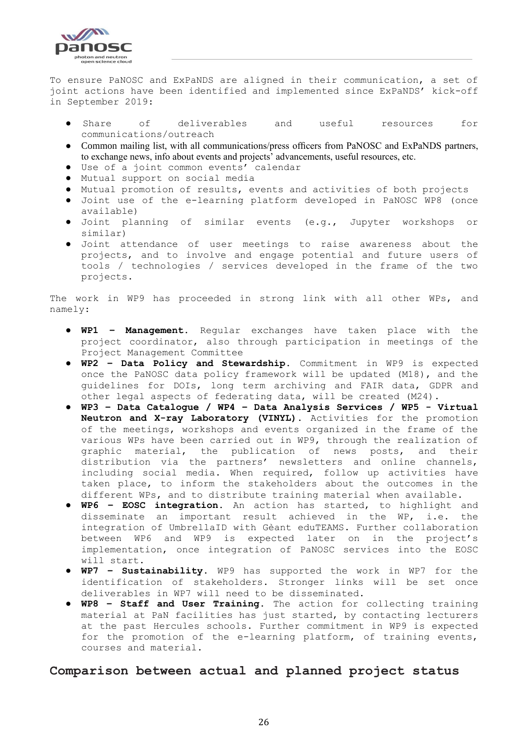

To ensure PaNOSC and ExPaNDS are aligned in their communication, a set of joint actions have been identified and implemented since ExPaNDS' kick-off in September 2019:

- Share of deliverables and useful resources for communications/outreach
- Common mailing list, with all communications/press officers from PaNOSC and ExPaNDS partners, to exchange news, info about events and projects' advancements, useful resources, etc.
- Use of a joint common events' calendar
- Mutual support on social media
- Mutual promotion of results, events and activities of both projects
- Joint use of the e-learning platform developed in PaNOSC WP8 (once available)
- Joint planning of similar events (e.g., Jupyter workshops or similar)
- Joint attendance of user meetings to raise awareness about the projects, and to involve and engage potential and future users of tools / technologies / services developed in the frame of the two projects.

The work in WP9 has proceeded in strong link with all other WPs, and namely:

- **WP1 – Management.** Regular exchanges have taken place with the project coordinator, also through participation in meetings of the Project Management Committee
- **WP2 – Data Policy and Stewardship.** Commitment in WP9 is expected once the PaNOSC data policy framework will be updated (M18), and the guidelines for DOIs, long term archiving and FAIR data, GDPR and other legal aspects of federating data, will be created (M24).
- **WP3 – Data Catalogue / WP4 – Data Analysis Services / WP5 - Virtual Neutron and X-ray Laboratory (VINYL).** Activities for the promotion of the meetings, workshops and events organized in the frame of the various WPs have been carried out in WP9, through the realization of graphic material, the publication of news posts, and their distribution via the partners' newsletters and online channels, including social media. When required, follow up activities have taken place, to inform the stakeholders about the outcomes in the different WPs, and to distribute training material when available.
- **WP6 – EOSC integration.** An action has started, to highlight and disseminate an important result achieved in the WP, i.e. the integration of UmbrellaID with Gèant eduTEAMS. Further collaboration between WP6 and WP9 is expected later on in the project's implementation, once integration of PaNOSC services into the EOSC will start.
- **WP7 – Sustainability.** WP9 has supported the work in WP7 for the identification of stakeholders. Stronger links will be set once deliverables in WP7 will need to be disseminated.
- **WP8 – Staff and User Training.** The action for collecting training material at PaN facilities has just started, by contacting lecturers at the past Hercules schools. Further commitment in WP9 is expected for the promotion of the e-learning platform, of training events, courses and material.

#### <span id="page-25-0"></span>**Comparison between actual and planned project status**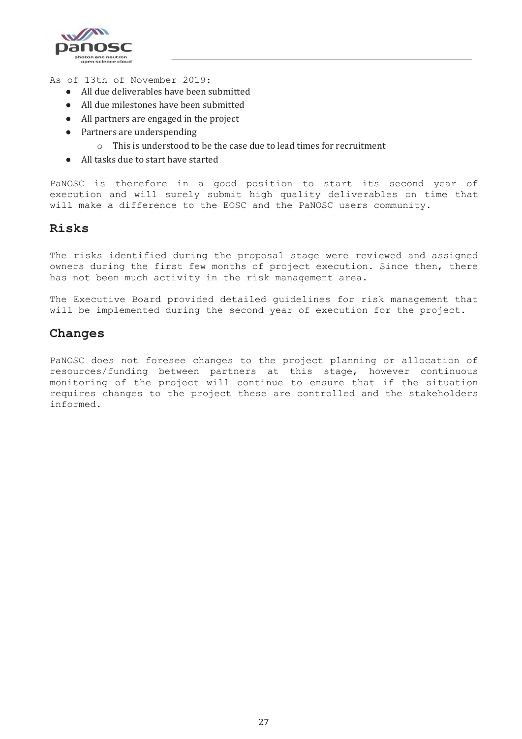

As of 13th of November 2019:

- All due deliverables have been submitted
- All due milestones have been submitted
- All partners are engaged in the project
- Partners are underspending
	- o This is understood to be the case due to lead times for recruitment
- All tasks due to start have started

PaNOSC is therefore in a good position to start its second year of execution and will surely submit high quality deliverables on time that will make a difference to the EOSC and the PaNOSC users community.

#### <span id="page-26-0"></span>**Risks**

The risks identified during the proposal stage were reviewed and assigned owners during the first few months of project execution. Since then, there has not been much activity in the risk management area.

The Executive Board provided detailed guidelines for risk management that will be implemented during the second year of execution for the project.

#### <span id="page-26-1"></span>**Changes**

PaNOSC does not foresee changes to the project planning or allocation of resources/funding between partners at this stage, however continuous monitoring of the project will continue to ensure that if the situation requires changes to the project these are controlled and the stakeholders informed.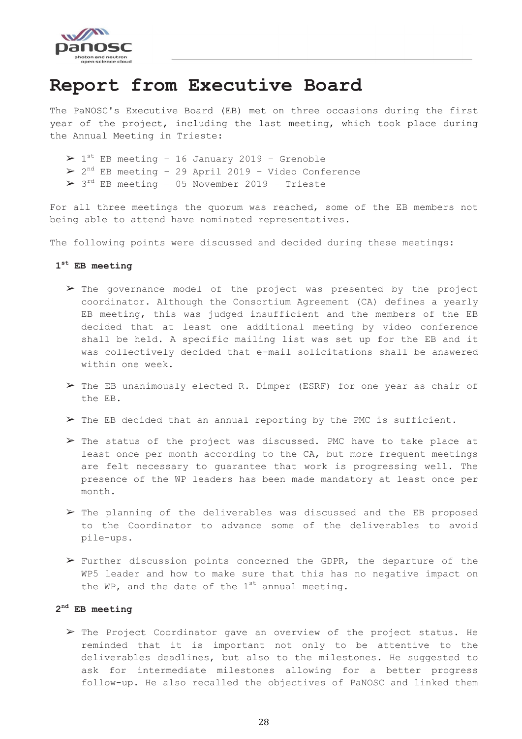

### <span id="page-27-0"></span>**Report from Executive Board**

The PaNOSC's Executive Board (EB) met on three occasions during the first year of the project, including the last meeting, which took place during the Annual Meeting in Trieste:

 $> 1$ <sup>st</sup> EB meeting - 16 January 2019 - Grenoble

- $\triangleright$  2<sup>nd</sup> EB meeting 29 April 2019 Video Conference
- ➢ 3 rd EB meeting 05 November 2019 Trieste

For all three meetings the quorum was reached, some of the EB members not being able to attend have nominated representatives.

The following points were discussed and decided during these meetings:

#### **1 st EB meeting**

- $\triangleright$  The governance model of the project was presented by the project coordinator. Although the Consortium Agreement (CA) defines a yearly EB meeting, this was judged insufficient and the members of the EB decided that at least one additional meeting by video conference shall be held. A specific mailing list was set up for the EB and it was collectively decided that e-mail solicitations shall be answered within one week.
- ➢ The EB unanimously elected R. Dimper (ESRF) for one year as chair of the EB.
- $\triangleright$  The EB decided that an annual reporting by the PMC is sufficient.
- $\triangleright$  The status of the project was discussed. PMC have to take place at least once per month according to the CA, but more frequent meetings are felt necessary to guarantee that work is progressing well. The presence of the WP leaders has been made mandatory at least once per month.
- ➢ The planning of the deliverables was discussed and the EB proposed to the Coordinator to advance some of the deliverables to avoid pile-ups.
- ➢ Further discussion points concerned the GDPR, the departure of the WP5 leader and how to make sure that this has no negative impact on the WP, and the date of the  $1<sup>st</sup>$  annual meeting.

#### **2 nd EB meeting**

➢ The Project Coordinator gave an overview of the project status. He reminded that it is important not only to be attentive to the deliverables deadlines, but also to the milestones. He suggested to ask for intermediate milestones allowing for a better progress follow-up. He also recalled the objectives of PaNOSC and linked them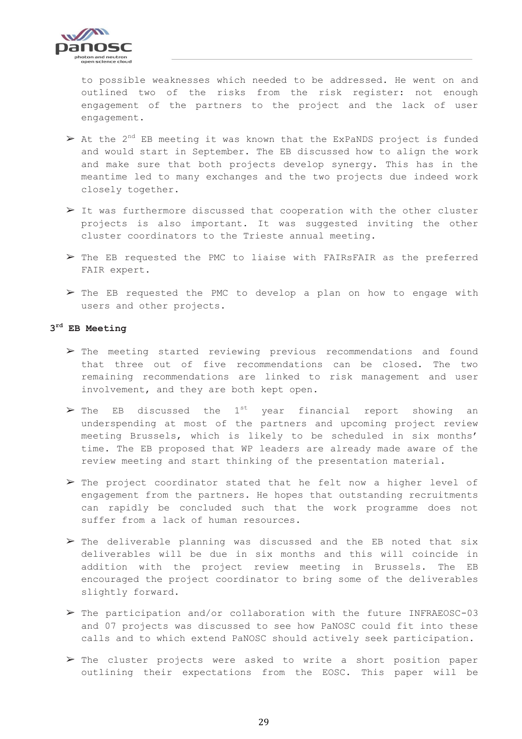

to possible weaknesses which needed to be addressed. He went on and outlined two of the risks from the risk register: not enough engagement of the partners to the project and the lack of user engagement.

- $\triangleright$  At the 2<sup>nd</sup> EB meeting it was known that the ExPaNDS project is funded and would start in September. The EB discussed how to align the work and make sure that both projects develop synergy. This has in the meantime led to many exchanges and the two projects due indeed work closely together.
- $\triangleright$  It was furthermore discussed that cooperation with the other cluster projects is also important. It was suggested inviting the other cluster coordinators to the Trieste annual meeting.
- $\triangleright$  The EB requested the PMC to liaise with FAIRsFAIR as the preferred FAIR expert.
- $\triangleright$  The EB requested the PMC to develop a plan on how to engage with users and other projects.

#### **3 rd EB Meeting**

- $\triangleright$  The meeting started reviewing previous recommendations and found that three out of five recommendations can be closed. The two remaining recommendations are linked to risk management and user involvement, and they are both kept open.
- $\triangleright$  The EB discussed the 1<sup>st</sup> year financial report showing an underspending at most of the partners and upcoming project review meeting Brussels, which is likely to be scheduled in six months' time. The EB proposed that WP leaders are already made aware of the review meeting and start thinking of the presentation material.
- ➢ The project coordinator stated that he felt now a higher level of engagement from the partners. He hopes that outstanding recruitments can rapidly be concluded such that the work programme does not suffer from a lack of human resources.
- $\triangleright$  The deliverable planning was discussed and the EB noted that six deliverables will be due in six months and this will coincide in addition with the project review meeting in Brussels. The EB encouraged the project coordinator to bring some of the deliverables slightly forward.
- $\triangleright$  The participation and/or collaboration with the future INFRAEOSC-03 and 07 projects was discussed to see how PaNOSC could fit into these calls and to which extend PaNOSC should actively seek participation.
- $\triangleright$  The cluster projects were asked to write a short position paper outlining their expectations from the EOSC. This paper will be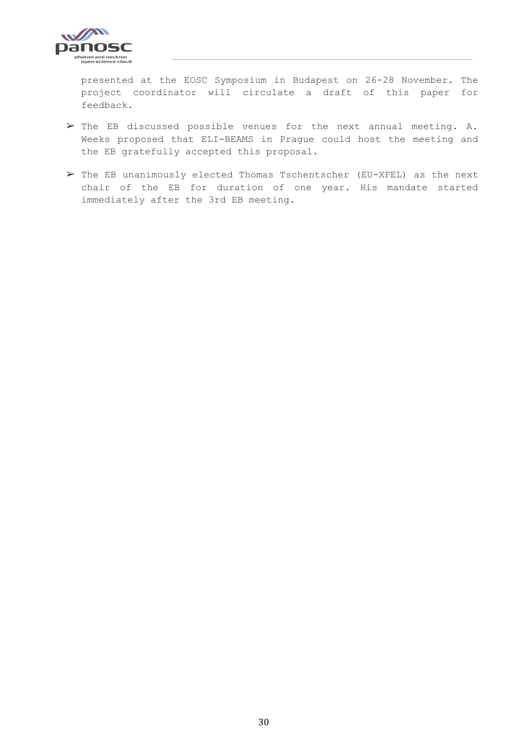

presented at the EOSC Symposium in Budapest on 26-28 November. The project coordinator will circulate a draft of this paper for feedback.

- ➢ The EB discussed possible venues for the next annual meeting. A. Weeks proposed that ELI-BEAMS in Prague could host the meeting and the EB gratefully accepted this proposal.
- ➢ The EB unanimously elected Thomas Tschentscher (EU-XFEL) as the next chair of the EB for duration of one year. His mandate started immediately after the 3rd EB meeting.